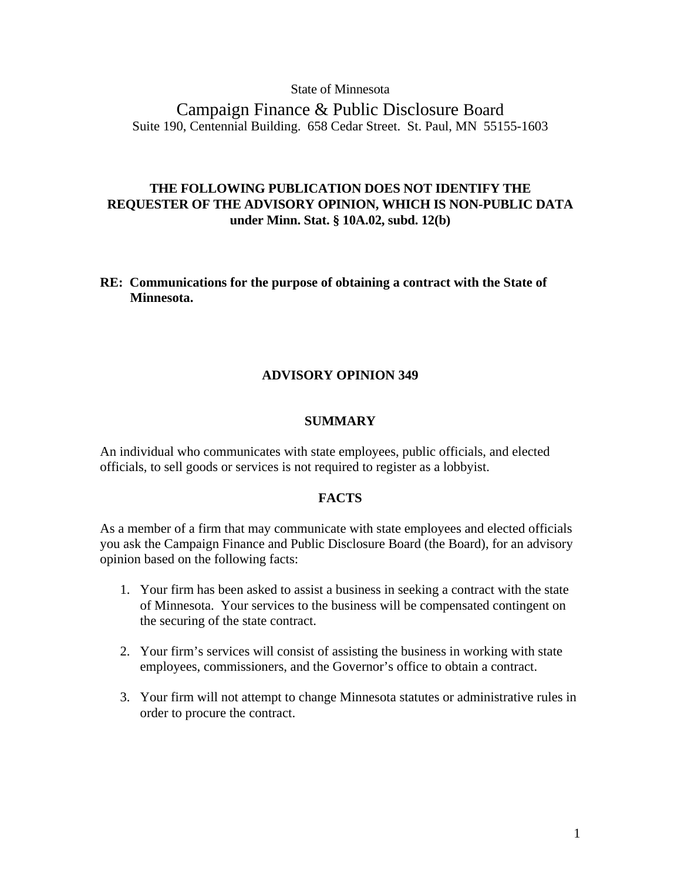#### State of Minnesota

Campaign Finance & Public Disclosure Board Suite 190, Centennial Building. 658 Cedar Street. St. Paul, MN 55155-1603

# **THE FOLLOWING PUBLICATION DOES NOT IDENTIFY THE REQUESTER OF THE ADVISORY OPINION, WHICH IS NON-PUBLIC DATA under Minn. Stat. § 10A.02, subd. 12(b)**

### **RE: Communications for the purpose of obtaining a contract with the State of Minnesota.**

## **ADVISORY OPINION 349**

#### **SUMMARY**

An individual who communicates with state employees, public officials, and elected officials, to sell goods or services is not required to register as a lobbyist.

## **FACTS**

As a member of a firm that may communicate with state employees and elected officials you ask the Campaign Finance and Public Disclosure Board (the Board), for an advisory opinion based on the following facts:

- 1. Your firm has been asked to assist a business in seeking a contract with the state of Minnesota. Your services to the business will be compensated contingent on the securing of the state contract.
- 2. Your firm's services will consist of assisting the business in working with state employees, commissioners, and the Governor's office to obtain a contract.
- 3. Your firm will not attempt to change Minnesota statutes or administrative rules in order to procure the contract.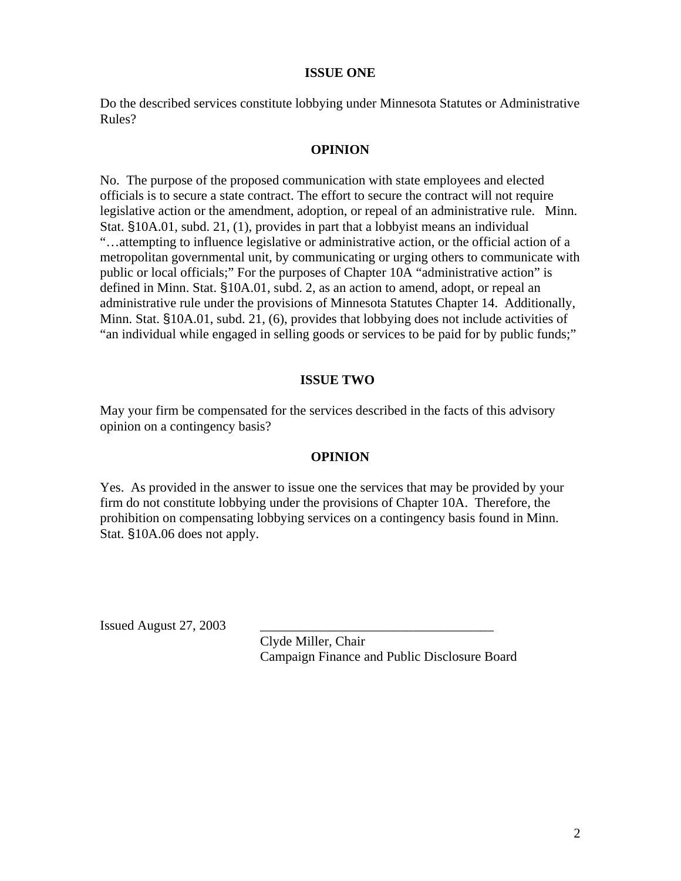## **ISSUE ONE**

Do the described services constitute lobbying under Minnesota Statutes or Administrative Rules?

## **OPINION**

No. The purpose of the proposed communication with state employees and elected officials is to secure a state contract. The effort to secure the contract will not require legislative action or the amendment, adoption, or repeal of an administrative rule. Minn. Stat. §10A.01, subd. 21, (1), provides in part that a lobbyist means an individual "…attempting to influence legislative or administrative action, or the official action of a metropolitan governmental unit, by communicating or urging others to communicate with public or local officials;" For the purposes of Chapter 10A "administrative action" is defined in Minn. Stat. §10A.01, subd. 2, as an action to amend, adopt, or repeal an administrative rule under the provisions of Minnesota Statutes Chapter 14. Additionally, Minn. Stat. §10A.01, subd. 21, (6), provides that lobbying does not include activities of "an individual while engaged in selling goods or services to be paid for by public funds;"

### **ISSUE TWO**

May your firm be compensated for the services described in the facts of this advisory opinion on a contingency basis?

#### **OPINION**

Yes. As provided in the answer to issue one the services that may be provided by your firm do not constitute lobbying under the provisions of Chapter 10A. Therefore, the prohibition on compensating lobbying services on a contingency basis found in Minn. Stat. §10A.06 does not apply.

Issued August  $27, 2003$ 

 Clyde Miller, Chair Campaign Finance and Public Disclosure Board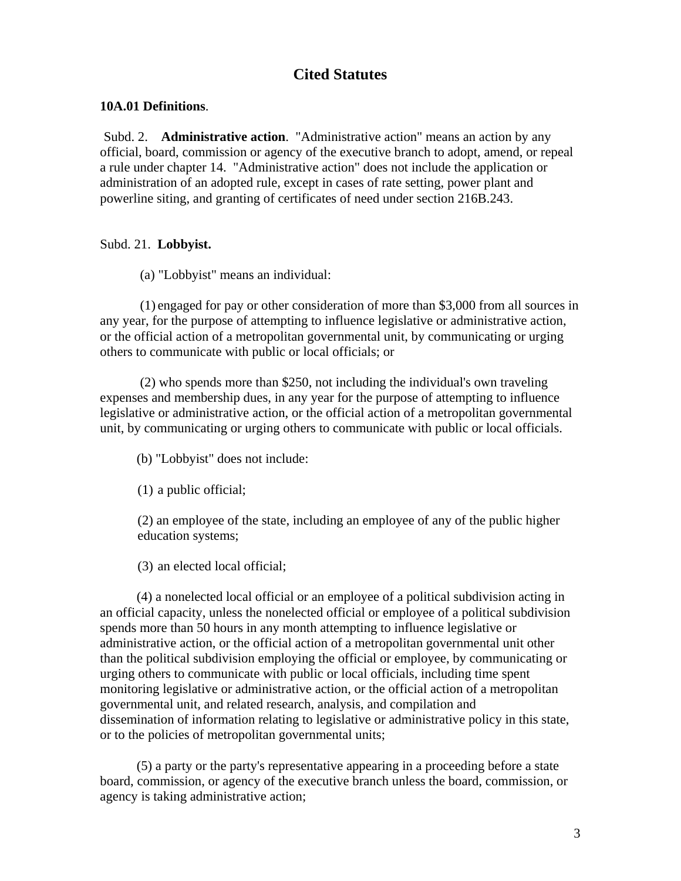# **Cited Statutes**

# **10A.01 Definitions**.

Subd. 2. **Administrative action**. "Administrative action" means an action by any official, board, commission or agency of the executive branch to adopt, amend, or repeal a rule under chapter 14. "Administrative action" does not include the application or administration of an adopted rule, except in cases of rate setting, power plant and powerline siting, and granting of certificates of need under section 216B.243.

# Subd. 21. **Lobbyist.**

(a) "Lobbyist" means an individual:

(1) engaged for pay or other consideration of more than \$3,000 from all sources in any year, for the purpose of attempting to influence legislative or administrative action, or the official action of a metropolitan governmental unit, by communicating or urging others to communicate with public or local officials; or

(2) who spends more than \$250, not including the individual's own traveling expenses and membership dues, in any year for the purpose of attempting to influence legislative or administrative action, or the official action of a metropolitan governmental unit, by communicating or urging others to communicate with public or local officials.

(b) "Lobbyist" does not include:

(1) a public official;

(2) an employee of the state, including an employee of any of the public higher education systems;

(3) an elected local official;

 (4) a nonelected local official or an employee of a political subdivision acting in an official capacity, unless the nonelected official or employee of a political subdivision spends more than 50 hours in any month attempting to influence legislative or administrative action, or the official action of a metropolitan governmental unit other than the political subdivision employing the official or employee, by communicating or urging others to communicate with public or local officials, including time spent monitoring legislative or administrative action, or the official action of a metropolitan governmental unit, and related research, analysis, and compilation and dissemination of information relating to legislative or administrative policy in this state, or to the policies of metropolitan governmental units;

 (5) a party or the party's representative appearing in a proceeding before a state board, commission, or agency of the executive branch unless the board, commission, or agency is taking administrative action;